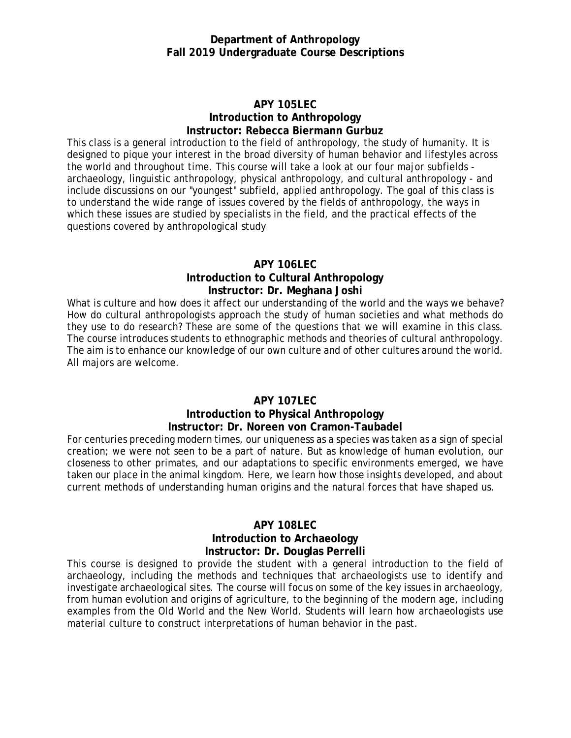#### **Department of Anthropology Fall 2019 Undergraduate Course Descriptions**

### **APY 105LEC Introduction to Anthropology Instructor: Rebecca Biermann Gurbuz**

This class is a general introduction to the field of anthropology, the study of humanity. It is designed to pique your interest in the broad diversity of human behavior and lifestyles across the world and throughout time. This course will take a look at our four major subfields archaeology, linguistic anthropology, physical anthropology, and cultural anthropology - and include discussions on our "youngest" subfield, applied anthropology. The goal of this class is to understand the wide range of issues covered by the fields of anthropology, the ways in which these issues are studied by specialists in the field, and the practical effects of the questions covered by anthropological study

### **APY 106LEC Introduction to Cultural Anthropology Instructor: Dr. Meghana Joshi**

What is culture and how does it affect our understanding of the world and the ways we behave? How do cultural anthropologists approach the study of human societies and what methods do they use to do research? These are some of the questions that we will examine in this class. The course introduces students to ethnographic methods and theories of cultural anthropology. The aim is to enhance our knowledge of our own culture and of other cultures around the world. All majors are welcome.

## **APY 107LEC**

## **Introduction to Physical Anthropology Instructor: Dr. Noreen von Cramon-Taubadel**

For centuries preceding modern times, our uniqueness as a species was taken as a sign of special creation; we were not seen to be a part of nature. But as knowledge of human evolution, our closeness to other primates, and our adaptations to specific environments emerged, we have taken our place in the animal kingdom. Here, we learn how those insights developed, and about current methods of understanding human origins and the natural forces that have shaped us.

## **APY 108LEC**

### **Introduction to Archaeology Instructor: Dr. Douglas Perrelli**

This course is designed to provide the student with a general introduction to the field of archaeology, including the methods and techniques that archaeologists use to identify and investigate archaeological sites. The course will focus on some of the key issues in archaeology, from human evolution and origins of agriculture, to the beginning of the modern age, including examples from the Old World and the New World. Students will learn how archaeologists use material culture to construct interpretations of human behavior in the past.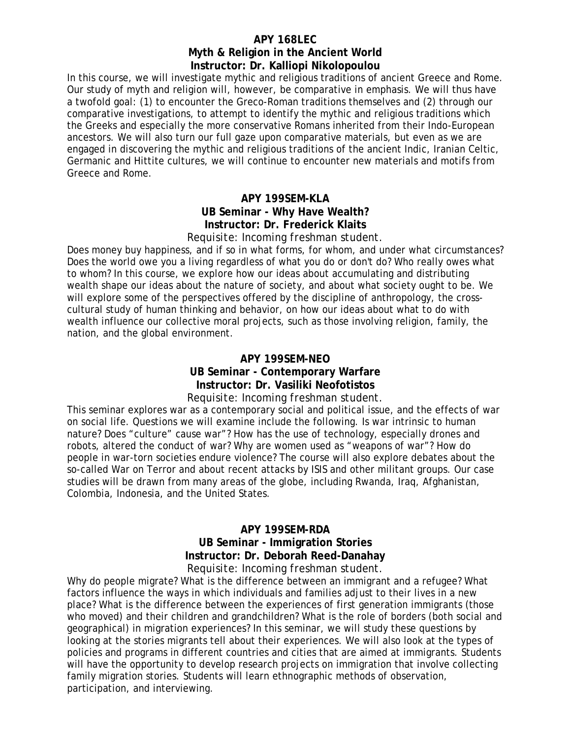## **APY 168LEC Myth & Religion in the Ancient World Instructor: Dr. Kalliopi Nikolopoulou**

In this course, we will investigate mythic and religious traditions of ancient Greece and Rome. Our study of myth and religion will, however, be comparative in emphasis. We will thus have a twofold goal: (1) to encounter the Greco-Roman traditions themselves and (2) through our comparative investigations, to attempt to identify the mythic and religious traditions which the Greeks and especially the more conservative Romans inherited from their Indo-European ancestors. We will also turn our full gaze upon comparative materials, but even as we are engaged in discovering the mythic and religious traditions of the ancient Indic, Iranian Celtic, Germanic and Hittite cultures, we will continue to encounter new materials and motifs from Greece and Rome.

### **APY 199SEM-KLA UB Seminar - Why Have Wealth? Instructor: Dr. Frederick Klaits** *Requisite: Incoming freshman student.*

Does money buy happiness, and if so in what forms, for whom, and under what circumstances? Does the world owe you a living regardless of what you do or don't do? Who really owes what to whom? In this course, we explore how our ideas about accumulating and distributing wealth shape our ideas about the nature of society, and about what society ought to be. We will explore some of the perspectives offered by the discipline of anthropology, the crosscultural study of human thinking and behavior, on how our ideas about what to do with wealth influence our collective moral projects, such as those involving religion, family, the nation, and the global environment.

#### **APY 199SEM-NEO UB Seminar - Contemporary Warfare Instructor: Dr. Vasiliki Neofotistos** *Requisite: Incoming freshman student.*

This seminar explores war as a contemporary social and political issue, and the effects of war on social life. Questions we will examine include the following. Is war intrinsic to human nature? Does "culture" cause war"? How has the use of technology, especially drones and robots, altered the conduct of war? Why are women used as "weapons of war"? How do people in war-torn societies endure violence? The course will also explore debates about the so-called War on Terror and about recent attacks by ISIS and other militant groups. Our case studies will be drawn from many areas of the globe, including Rwanda, Iraq, Afghanistan, Colombia, Indonesia, and the United States.

### **APY 199SEM-RDA UB Seminar - Immigration Stories Instructor: Dr. Deborah Reed-Danahay** *Requisite: Incoming freshman student.*

Why do people migrate? What is the difference between an immigrant and a refugee? What factors influence the ways in which individuals and families adjust to their lives in a new place? What is the difference between the experiences of first generation immigrants (those who moved) and their children and grandchildren? What is the role of borders (both social and geographical) in migration experiences? In this seminar, we will study these questions by looking at the stories migrants tell about their experiences. We will also look at the types of policies and programs in different countries and cities that are aimed at immigrants. Students will have the opportunity to develop research projects on immigration that involve collecting family migration stories. Students will learn ethnographic methods of observation, participation, and interviewing.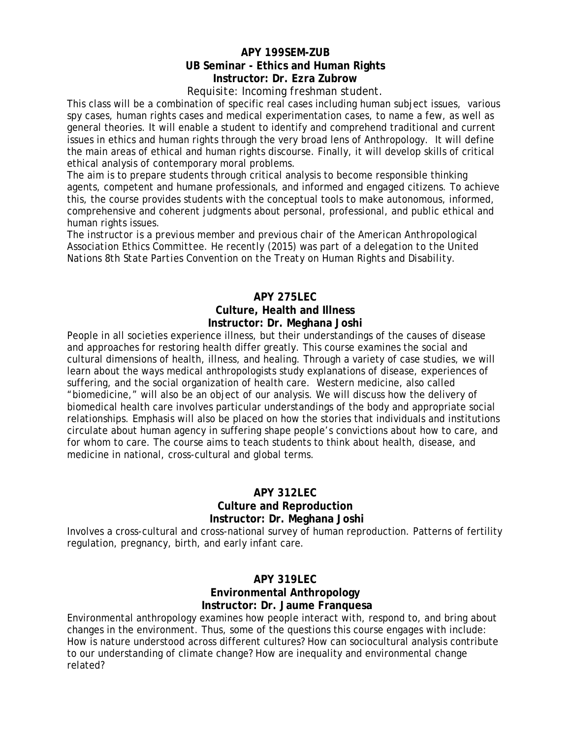# **APY 199SEM-ZUB UB Seminar - Ethics and Human Rights Instructor: Dr. Ezra Zubrow**

#### *Requisite: Incoming freshman student.*

This class will be a combination of specific real cases including human subject issues, various spy cases, human rights cases and medical experimentation cases, to name a few, as well as general theories. It will enable a student to identify and comprehend traditional and current issues in ethics and human rights through the very broad lens of Anthropology. It will define the main areas of ethical and human rights discourse. Finally, it will develop skills of critical ethical analysis of contemporary moral problems.

The aim is to prepare students through critical analysis to become responsible thinking agents, competent and humane professionals, and informed and engaged citizens. To achieve this, the course provides students with the conceptual tools to make autonomous, informed, comprehensive and coherent judgments about personal, professional, and public ethical and human rights issues.

*The instructor is a previous member and previous chair of the American Anthropological Association Ethics Committee. He recently (2015) was part of a delegation to the United Nations 8th State Parties Convention on the Treaty on Human Rights and Disability.*

## **APY 275LEC Culture, Health and Illness Instructor: Dr. Meghana Joshi**

People in all societies experience illness, but their understandings of the causes of disease and approaches for restoring health differ greatly. This course examines the social and cultural dimensions of health, illness, and healing. Through a variety of case studies, we will learn about the ways medical anthropologists study explanations of disease, experiences of suffering, and the social organization of health care. Western medicine, also called "biomedicine," will also be an object of our analysis. We will discuss how the delivery of biomedical health care involves particular understandings of the body and appropriate social relationships. Emphasis will also be placed on how the stories that individuals and institutions circulate about human agency in suffering shape people's convictions about how to care, and for whom to care. The course aims to teach students to think about health, disease, and medicine in national, cross-cultural and global terms.

## **APY 312LEC Culture and Reproduction Instructor: Dr. Meghana Joshi**

Involves a cross-cultural and cross-national survey of human reproduction. Patterns of fertility regulation, pregnancy, birth, and early infant care.

#### **APY 319LEC Environmental Anthropology Instructor: Dr. Jaume Franquesa**

Environmental anthropology examines how people interact with, respond to, and bring about changes in the environment. Thus, some of the questions this course engages with include: How is nature understood across different cultures? How can sociocultural analysis contribute to our understanding of climate change? How are inequality and environmental change related?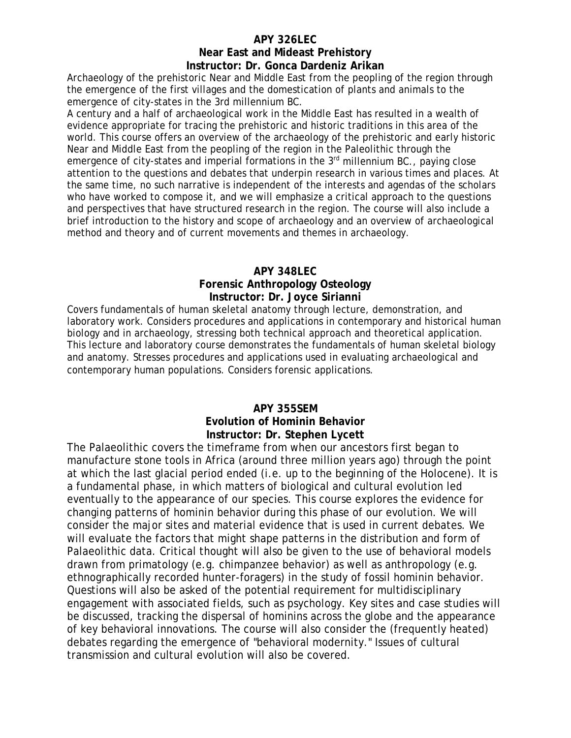# **APY 326LEC**

# **Near East and Mideast Prehistory Instructor: Dr. Gonca Dardeniz Arikan**

Archaeology of the prehistoric Near and Middle East from the peopling of the region through the emergence of the first villages and the domestication of plants and animals to the emergence of city-states in the 3rd millennium BC.

A century and a half of archaeological work in the Middle East has resulted in a wealth of evidence appropriate for tracing the prehistoric and historic traditions in this area of the world. This course offers an overview of the archaeology of the prehistoric and early historic Near and Middle East from the peopling of the region in the Paleolithic through the emergence of city-states and imperial formations in the 3<sup>rd</sup> millennium BC., paying close attention to the questions and debates that underpin research in various times and places. At the same time, no such narrative is independent of the interests and agendas of the scholars who have worked to compose it, and we will emphasize a critical approach to the questions and perspectives that have structured research in the region. The course will also include a brief introduction to the history and scope of archaeology and an overview of archaeological method and theory and of current movements and themes in archaeology.

#### **APY 348LEC**

#### **Forensic Anthropology Osteology Instructor: Dr. Joyce Sirianni**

Covers fundamentals of human skeletal anatomy through lecture, demonstration, and laboratory work. Considers procedures and applications in contemporary and historical human biology and in archaeology, stressing both technical approach and theoretical application. This lecture and laboratory course demonstrates the fundamentals of human skeletal biology and anatomy. Stresses procedures and applications used in evaluating archaeological and contemporary human populations. Considers forensic applications.

## **APY 355SEM**

## **Evolution of Hominin Behavior Instructor: Dr. Stephen Lycett**

The Palaeolithic covers the timeframe from when our ancestors first began to manufacture stone tools in Africa (around three million years ago) through the point at which the last glacial period ended (i.e. up to the beginning of the Holocene). It is a fundamental phase, in which matters of biological and cultural evolution led eventually to the appearance of our species. This course explores the evidence for changing patterns of hominin behavior during this phase of our evolution. We will consider the major sites and material evidence that is used in current debates. We will evaluate the factors that might shape patterns in the distribution and form of Palaeolithic data. Critical thought will also be given to the use of behavioral models drawn from primatology (e.g. chimpanzee behavior) as well as anthropology (e.g. ethnographically recorded hunter-foragers) in the study of fossil hominin behavior. Questions will also be asked of the potential requirement for multidisciplinary engagement with associated fields, such as psychology. Key sites and case studies will be discussed, tracking the dispersal of hominins across the globe and the appearance of key behavioral innovations. The course will also consider the (frequently heated) debates regarding the emergence of "behavioral modernity." Issues of cultural transmission and cultural evolution will also be covered.